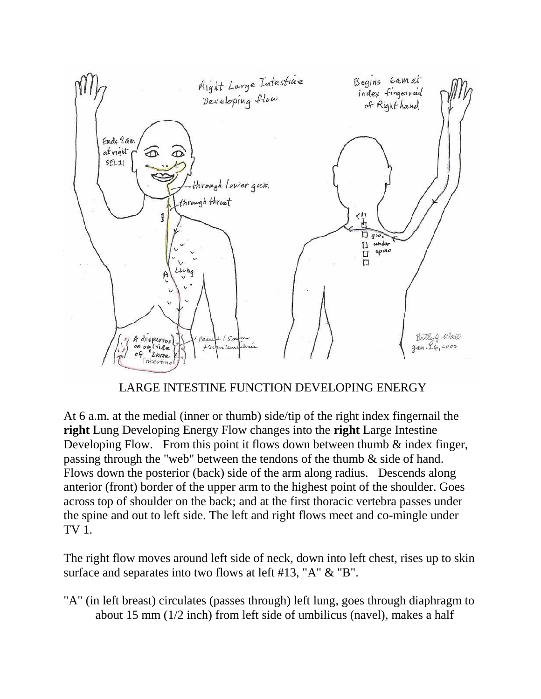

## LARGE INTESTINE FUNCTION DEVELOPING ENERGY

At 6 a.m. at the medial (inner or thumb) side/tip of the right index fingernail the **right** Lung Developing Energy Flow changes into the **right** Large Intestine Developing Flow. From this point it flows down between thumb  $\&$  index finger, passing through the "web" between the tendons of the thumb & side of hand. Flows down the posterior (back) side of the arm along radius. Descends along anterior (front) border of the upper arm to the highest point of the shoulder. Goes across top of shoulder on the back; and at the first thoracic vertebra passes under the spine and out to left side. The left and right flows meet and co-mingle under TV 1.

The right flow moves around left side of neck, down into left chest, rises up to skin surface and separates into two flows at left #13, "A" & "B".

"A" (in left breast) circulates (passes through) left lung, goes through diaphragm to about 15 mm (1/2 inch) from left side of umbilicus (navel), makes a half